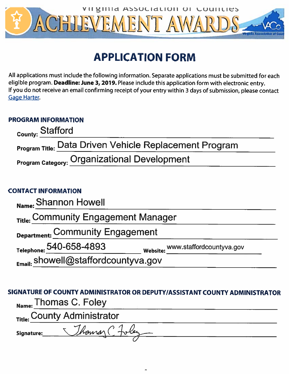

# **APPLICATION FORM**

All applications must include the following information. Separate applications must be submitted for each eligible program. Deadline: June 3, 2019. Please include this application form with electronic entry. If you do not receive an email confirming receipt of your entry within 3 days of submission, please contact Gage Harter.

## **PROGRAM INFORMATION**

| <sub>County:</sub> Stafford                                   |
|---------------------------------------------------------------|
| <b>Program Title: Data Driven Vehicle Replacement Program</b> |
| <b>Program Category: Organizational Development</b>           |

## **CONTACT INFORMATION**

| Name: Shannon Howell                             |                                   |
|--------------------------------------------------|-----------------------------------|
| Title: Community Engagement Manager              |                                   |
| Department: Community Engagement                 |                                   |
| Telephone: 540-658-4893                          | Website: www.staffordcountyva.gov |
| $F_{\text{mail}}$ . showell@staffordcountyva.gov |                                   |

## SIGNATURE OF COUNTY ADMINISTRATOR OR DEPUTY/ASSISTANT COUNTY ADMINISTRATOR Name: Thomas C. Foley

|                   | <sub>Title:</sub> County Administrator |  |
|-------------------|----------------------------------------|--|
| <b>Signature:</b> | Thomas ( Foley                         |  |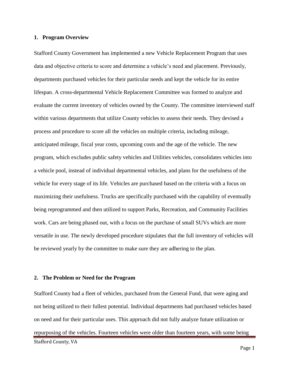#### **1. Program Overview**

Stafford County Government has implemented a new Vehicle Replacement Program that uses data and objective criteria to score and determine a vehicle's need and placement. Previously, departments purchased vehicles for their particular needs and kept the vehicle for its entire lifespan. A cross-departmental Vehicle Replacement Committee was formed to analyze and evaluate the current inventory of vehicles owned by the County. The committee interviewed staff within various departments that utilize County vehicles to assess their needs. They devised a process and procedure to score all the vehicles on multiple criteria, including mileage, anticipated mileage, fiscal year costs, upcoming costs and the age of the vehicle. The new program, which excludes public safety vehicles and Utilities vehicles, consolidates vehicles into a vehicle pool, instead of individual departmental vehicles, and plans for the usefulness of the vehicle for every stage of its life. Vehicles are purchased based on the criteria with a focus on maximizing their usefulness. Trucks are specifically purchased with the capability of eventually being reprogrammed and then utilized to support Parks, Recreation, and Community Facilities work. Cars are being phased out, with a focus on the purchase of small SUVs which are more versatile in use. The newly developed procedure stipulates that the full inventory of vehicles will be reviewed yearly by the committee to make sure they are adhering to the plan.

#### **2. The Problem or Need for the Program**

Stafford County, VA Stafford County had a fleet of vehicles, purchased from the General Fund, that were aging and not being utilized to their fullest potential. Individual departments had purchased vehicles based on need and for their particular uses. This approach did not fully analyze future utilization or repurposing of the vehicles. Fourteen vehicles were older than fourteen years, with some being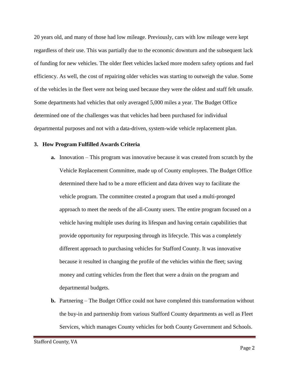20 years old, and many of those had low mileage. Previously, cars with low mileage were kept regardless of their use. This was partially due to the economic downturn and the subsequent lack of funding for new vehicles. The older fleet vehicles lacked more modern safety options and fuel efficiency. As well, the cost of repairing older vehicles was starting to outweigh the value. Some of the vehicles in the fleet were not being used because they were the oldest and staff felt unsafe. Some departments had vehicles that only averaged 5,000 miles a year. The Budget Office determined one of the challenges was that vehicles had been purchased for individual departmental purposes and not with a data-driven, system-wide vehicle replacement plan.

#### **3. How Program Fulfilled Awards Criteria**

- **a.** Innovation This program was innovative because it was created from scratch by the Vehicle Replacement Committee, made up of County employees. The Budget Office determined there had to be a more efficient and data driven way to facilitate the vehicle program. The committee created a program that used a multi-pronged approach to meet the needs of the all-County users. The entire program focused on a vehicle having multiple uses during its lifespan and having certain capabilities that provide opportunity for repurposing through its lifecycle. This was a completely different approach to purchasing vehicles for Stafford County. It was innovative because it resulted in changing the profile of the vehicles within the fleet; saving money and cutting vehicles from the fleet that were a drain on the program and departmental budgets.
- **b.** Partnering The Budget Office could not have completed this transformation without the buy-in and partnership from various Stafford County departments as well as Fleet Services, which manages County vehicles for both County Government and Schools.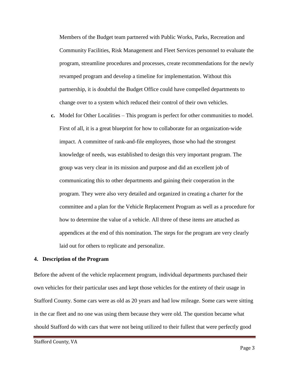Members of the Budget team partnered with Public Works, Parks, Recreation and Community Facilities, Risk Management and Fleet Services personnel to evaluate the program, streamline procedures and processes, create recommendations for the newly revamped program and develop a timeline for implementation. Without this partnership, it is doubtful the Budget Office could have compelled departments to change over to a system which reduced their control of their own vehicles.

**c.** Model for Other Localities – This program is perfect for other communities to model. First of all, it is a great blueprint for how to collaborate for an organization-wide impact. A committee of rank-and-file employees, those who had the strongest knowledge of needs, was established to design this very important program. The group was very clear in its mission and purpose and did an excellent job of communicating this to other departments and gaining their cooperation in the program. They were also very detailed and organized in creating a charter for the committee and a plan for the Vehicle Replacement Program as well as a procedure for how to determine the value of a vehicle. All three of these items are attached as appendices at the end of this nomination. The steps for the program are very clearly laid out for others to replicate and personalize.

#### **4. Description of the Program**

Before the advent of the vehicle replacement program, individual departments purchased their own vehicles for their particular uses and kept those vehicles for the entirety of their usage in Stafford County. Some cars were as old as 20 years and had low mileage. Some cars were sitting in the car fleet and no one was using them because they were old. The question became what should Stafford do with cars that were not being utilized to their fullest that were perfectly good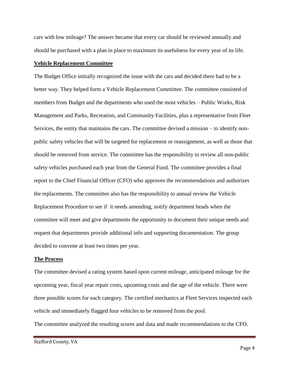cars with low mileage? The answer became that every car should be reviewed annually and should be purchased with a plan in place to maximum its usefulness for every year of its life.

#### **Vehicle Replacement Committee**

The Budget Office initially recognized the issue with the cars and decided there had to be a better way. They helped form a Vehicle Replacement Committee. The committee consisted of members from Budget and the departments who used the most vehicles – Public Works, Risk Management and Parks, Recreation, and Community Facilities, plus a representative from Fleet Services, the entity that maintains the cars. The committee devised a mission – to identify nonpublic safety vehicles that will be targeted for replacement or reassignment, as well as those that should be removed from service. The committee has the responsibility to review all non-public safety vehicles purchased each year from the General Fund. The committee provides a final report to the Chief Financial Officer (CFO) who approves the recommendations and authorizes the replacements. The committee also has the responsibility to annual review the Vehicle Replacement Procedure to see if it needs amending, notify department heads when the committee will meet and give departments the opportunity to document their unique needs and request that departments provide additional info and supporting documentation. The group decided to convene at least two times per year.

#### **The Process**

The committee devised a rating system based upon current mileage, anticipated mileage for the upcoming year, fiscal year repair costs, upcoming costs and the age of the vehicle. There were three possible scores for each category. The certified mechanics at Fleet Services inspected each vehicle and immediately flagged four vehicles to be removed from the pool.

The committee analyzed the resulting scores and data and made recommendations to the CFO.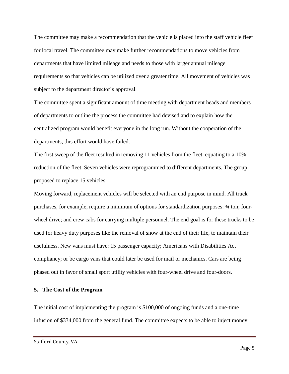The committee may make a recommendation that the vehicle is placed into the staff vehicle fleet for local travel. The committee may make further recommendations to move vehicles from departments that have limited mileage and needs to those with larger annual mileage requirements so that vehicles can be utilized over a greater time. All movement of vehicles was subject to the department director's approval.

The committee spent a significant amount of time meeting with department heads and members of departments to outline the process the committee had devised and to explain how the centralized program would benefit everyone in the long run. Without the cooperation of the departments, this effort would have failed.

The first sweep of the fleet resulted in removing 11 vehicles from the fleet, equating to a 10% reduction of the fleet. Seven vehicles were reprogrammed to different departments. The group proposed to replace 15 vehicles.

Moving forward, replacement vehicles will be selected with an end purpose in mind. All truck purchases, for example, require a minimum of options for standardization purposes: ¾ ton; fourwheel drive; and crew cabs for carrying multiple personnel. The end goal is for these trucks to be used for heavy duty purposes like the removal of snow at the end of their life, to maintain their usefulness. New vans must have: 15 passenger capacity; Americans with Disabilities Act compliancy; or be cargo vans that could later be used for mail or mechanics. Cars are being phased out in favor of small sport utility vehicles with four-wheel drive and four-doors.

#### **5. The Cost of the Program**

The initial cost of implementing the program is \$100,000 of ongoing funds and a one-time infusion of \$334,000 from the general fund. The committee expects to be able to inject money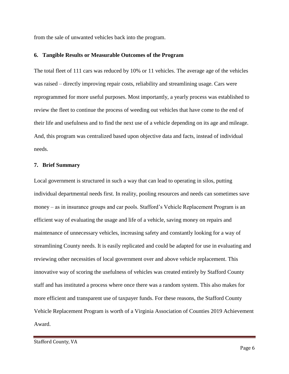from the sale of unwanted vehicles back into the program.

#### **6. Tangible Results or Measurable Outcomes of the Program**

The total fleet of 111 cars was reduced by 10% or 11 vehicles. The average age of the vehicles was raised – directly improving repair costs, reliability and streamlining usage. Cars were reprogrammed for more useful purposes. Most importantly, a yearly process was established to review the fleet to continue the process of weeding out vehicles that have come to the end of their life and usefulness and to find the next use of a vehicle depending on its age and mileage. And, this program was centralized based upon objective data and facts, instead of individual needs.

#### **7. Brief Summary**

Local government is structured in such a way that can lead to operating in silos, putting individual departmental needs first. In reality, pooling resources and needs can sometimes save money – as in insurance groups and car pools. Stafford's Vehicle Replacement Program is an efficient way of evaluating the usage and life of a vehicle, saving money on repairs and maintenance of unnecessary vehicles, increasing safety and constantly looking for a way of streamlining County needs. It is easily replicated and could be adapted for use in evaluating and reviewing other necessities of local government over and above vehicle replacement. This innovative way of scoring the usefulness of vehicles was created entirely by Stafford County staff and has instituted a process where once there was a random system. This also makes for more efficient and transparent use of taxpayer funds. For these reasons, the Stafford County Vehicle Replacement Program is worth of a Virginia Association of Counties 2019 Achievement Award.